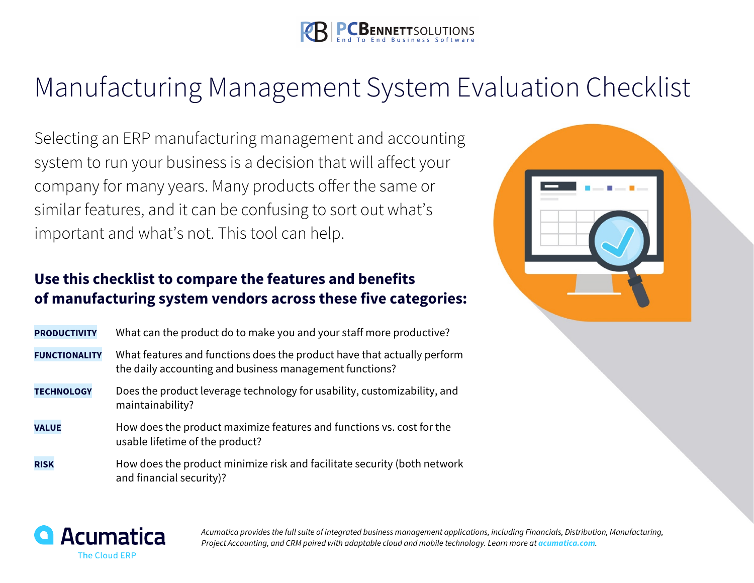

## Manufacturing Management System Evaluation Checklist

Selecting an ERP manufacturing management and accounting system to run your business is a decision that will affect your company for many years. Many products offer the same or similar features, and it can be confusing to sort out what's important and what's not. This tool can help.

## **Use this checklist to compare the features and benefits of manufacturing system vendors across these five categories:**

| <b>PRODUCTIVITY</b>  | What can the product do to make you and your staff more productive?                                                                |
|----------------------|------------------------------------------------------------------------------------------------------------------------------------|
| <b>FUNCTIONALITY</b> | What features and functions does the product have that actually perform<br>the daily accounting and business management functions? |
| <b>TECHNOLOGY</b>    | Does the product leverage technology for usability, customizability, and<br>maintainability?                                       |
| <b>VALUE</b>         | How does the product maximize features and functions vs. cost for the<br>usable lifetime of the product?                           |
| <b>RISK</b>          | How does the product minimize risk and facilitate security (both network<br>and financial security)?                               |





*Acumatica provides the full suite of integrated business management applications, including Financials, Distribution, Manufacturing, Project Accounting, and CRM paired with adaptable cloud and mobile technology. Learn more at acumatica.com.*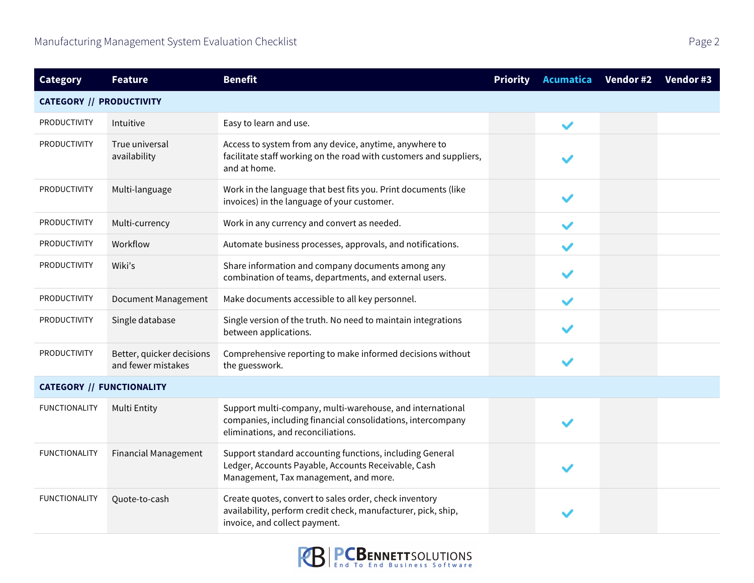| <b>Category</b>                  | <b>Feature</b>                                  | <b>Benefit</b>                                                                                                                                                 | <b>Priority</b> | <b>Acumatica</b> | Vendor #2 | Vendor #3 |
|----------------------------------|-------------------------------------------------|----------------------------------------------------------------------------------------------------------------------------------------------------------------|-----------------|------------------|-----------|-----------|
| <b>CATEGORY // PRODUCTIVITY</b>  |                                                 |                                                                                                                                                                |                 |                  |           |           |
| PRODUCTIVITY                     | Intuitive                                       | Easy to learn and use.                                                                                                                                         |                 | $\checkmark$     |           |           |
| <b>PRODUCTIVITY</b>              | True universal<br>availability                  | Access to system from any device, anytime, anywhere to<br>facilitate staff working on the road with customers and suppliers,<br>and at home.                   |                 |                  |           |           |
| <b>PRODUCTIVITY</b>              | Multi-language                                  | Work in the language that best fits you. Print documents (like<br>invoices) in the language of your customer.                                                  |                 |                  |           |           |
| <b>PRODUCTIVITY</b>              | Multi-currency                                  | Work in any currency and convert as needed.                                                                                                                    |                 |                  |           |           |
| <b>PRODUCTIVITY</b>              | Workflow                                        | Automate business processes, approvals, and notifications.                                                                                                     |                 |                  |           |           |
| <b>PRODUCTIVITY</b>              | Wiki's                                          | Share information and company documents among any<br>combination of teams, departments, and external users.                                                    |                 |                  |           |           |
| <b>PRODUCTIVITY</b>              | <b>Document Management</b>                      | Make documents accessible to all key personnel.                                                                                                                |                 |                  |           |           |
| <b>PRODUCTIVITY</b>              | Single database                                 | Single version of the truth. No need to maintain integrations<br>between applications.                                                                         |                 |                  |           |           |
| <b>PRODUCTIVITY</b>              | Better, quicker decisions<br>and fewer mistakes | Comprehensive reporting to make informed decisions without<br>the guesswork.                                                                                   |                 |                  |           |           |
| <b>CATEGORY // FUNCTIONALITY</b> |                                                 |                                                                                                                                                                |                 |                  |           |           |
| <b>FUNCTIONALITY</b>             | Multi Entity                                    | Support multi-company, multi-warehouse, and international<br>companies, including financial consolidations, intercompany<br>eliminations, and reconciliations. |                 |                  |           |           |
| <b>FUNCTIONALITY</b>             | <b>Financial Management</b>                     | Support standard accounting functions, including General<br>Ledger, Accounts Payable, Accounts Receivable, Cash<br>Management, Tax management, and more.       |                 |                  |           |           |
| <b>FUNCTIONALITY</b>             | Quote-to-cash                                   | Create quotes, convert to sales order, check inventory<br>availability, perform credit check, manufacturer, pick, ship,<br>invoice, and collect payment.       |                 |                  |           |           |

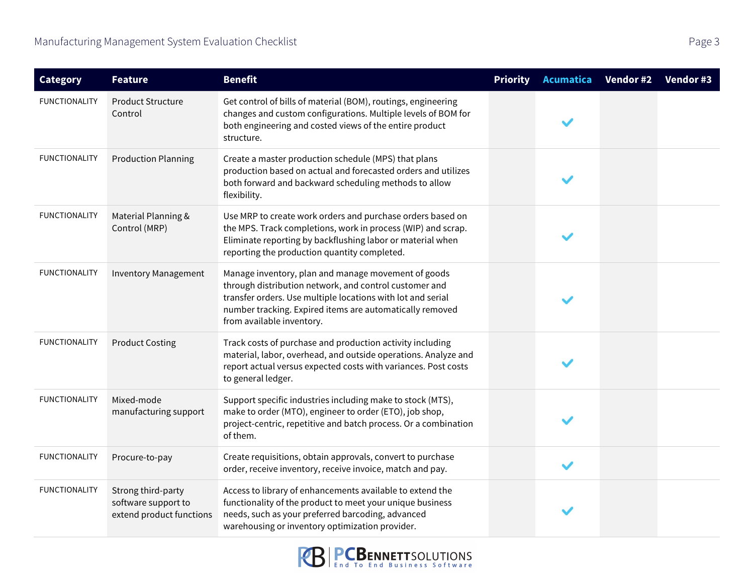| <b>Category</b>      | <b>Feature</b>                                                        | <b>Benefit</b>                                                                                                                                                                                                                                                        | <b>Priority</b> | <b>Acumatica</b> | Vendor #2 | Vendor #3 |
|----------------------|-----------------------------------------------------------------------|-----------------------------------------------------------------------------------------------------------------------------------------------------------------------------------------------------------------------------------------------------------------------|-----------------|------------------|-----------|-----------|
| <b>FUNCTIONALITY</b> | <b>Product Structure</b><br>Control                                   | Get control of bills of material (BOM), routings, engineering<br>changes and custom configurations. Multiple levels of BOM for<br>both engineering and costed views of the entire product<br>structure.                                                               |                 |                  |           |           |
| <b>FUNCTIONALITY</b> | <b>Production Planning</b>                                            | Create a master production schedule (MPS) that plans<br>production based on actual and forecasted orders and utilizes<br>both forward and backward scheduling methods to allow<br>flexibility.                                                                        |                 |                  |           |           |
| <b>FUNCTIONALITY</b> | Material Planning &<br>Control (MRP)                                  | Use MRP to create work orders and purchase orders based on<br>the MPS. Track completions, work in process (WIP) and scrap.<br>Eliminate reporting by backflushing labor or material when<br>reporting the production quantity completed.                              |                 |                  |           |           |
| <b>FUNCTIONALITY</b> | <b>Inventory Management</b>                                           | Manage inventory, plan and manage movement of goods<br>through distribution network, and control customer and<br>transfer orders. Use multiple locations with lot and serial<br>number tracking. Expired items are automatically removed<br>from available inventory. |                 |                  |           |           |
| <b>FUNCTIONALITY</b> | <b>Product Costing</b>                                                | Track costs of purchase and production activity including<br>material, labor, overhead, and outside operations. Analyze and<br>report actual versus expected costs with variances. Post costs<br>to general ledger.                                                   |                 |                  |           |           |
| <b>FUNCTIONALITY</b> | Mixed-mode<br>manufacturing support                                   | Support specific industries including make to stock (MTS),<br>make to order (MTO), engineer to order (ETO), job shop,<br>project-centric, repetitive and batch process. Or a combination<br>of them.                                                                  |                 |                  |           |           |
| <b>FUNCTIONALITY</b> | Procure-to-pay                                                        | Create requisitions, obtain approvals, convert to purchase<br>order, receive inventory, receive invoice, match and pay.                                                                                                                                               |                 | $\checkmark$     |           |           |
| <b>FUNCTIONALITY</b> | Strong third-party<br>software support to<br>extend product functions | Access to library of enhancements available to extend the<br>functionality of the product to meet your unique business<br>needs, such as your preferred barcoding, advanced<br>warehousing or inventory optimization provider.                                        |                 |                  |           |           |

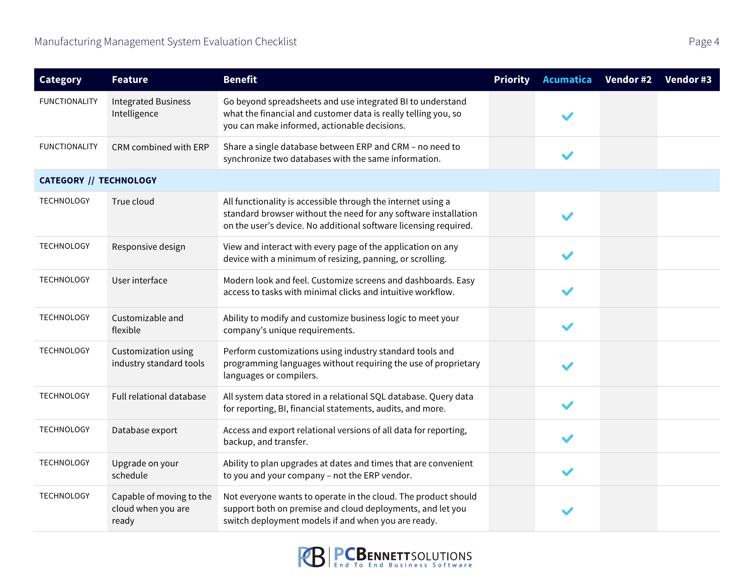| <b>Category</b>               | <b>Feature</b>                                          | <b>Benefit</b>                                                                                                                                                                                      | <b>Priority</b> | Acumatica    | Vendor #2 | Vendor #3 |
|-------------------------------|---------------------------------------------------------|-----------------------------------------------------------------------------------------------------------------------------------------------------------------------------------------------------|-----------------|--------------|-----------|-----------|
| <b>FUNCTIONALITY</b>          | <b>Integrated Business</b><br>Intelligence              | Go beyond spreadsheets and use integrated BI to understand<br>what the financial and customer data is really telling you, so<br>you can make informed, actionable decisions.                        |                 |              |           |           |
| <b>FUNCTIONALITY</b>          | CRM combined with ERP                                   | Share a single database between ERP and CRM - no need to<br>synchronize two databases with the same information.                                                                                    |                 | $\checkmark$ |           |           |
| <b>CATEGORY // TECHNOLOGY</b> |                                                         |                                                                                                                                                                                                     |                 |              |           |           |
| <b>TECHNOLOGY</b>             | True cloud                                              | All functionality is accessible through the internet using a<br>standard browser without the need for any software installation<br>on the user's device. No additional software licensing required. |                 |              |           |           |
| <b>TECHNOLOGY</b>             | Responsive design                                       | View and interact with every page of the application on any<br>device with a minimum of resizing, panning, or scrolling.                                                                            |                 |              |           |           |
| <b>TECHNOLOGY</b>             | User interface                                          | Modern look and feel. Customize screens and dashboards. Easy<br>access to tasks with minimal clicks and intuitive workflow.                                                                         |                 | $\checkmark$ |           |           |
| TECHNOLOGY                    | Customizable and<br>flexible                            | Ability to modify and customize business logic to meet your<br>company's unique requirements.                                                                                                       |                 | $\checkmark$ |           |           |
| <b>TECHNOLOGY</b>             | Customization using<br>industry standard tools          | Perform customizations using industry standard tools and<br>programming languages without requiring the use of proprietary<br>languages or compilers.                                               |                 | $\checkmark$ |           |           |
| <b>TECHNOLOGY</b>             | Full relational database                                | All system data stored in a relational SQL database. Query data<br>for reporting, BI, financial statements, audits, and more.                                                                       |                 | $\checkmark$ |           |           |
| TECHNOLOGY                    | Database export                                         | Access and export relational versions of all data for reporting,<br>backup, and transfer.                                                                                                           |                 |              |           |           |
| <b>TECHNOLOGY</b>             | Upgrade on your<br>schedule                             | Ability to plan upgrades at dates and times that are convenient<br>to you and your company - not the ERP vendor.                                                                                    |                 | $\checkmark$ |           |           |
| TECHNOLOGY                    | Capable of moving to the<br>cloud when you are<br>ready | Not everyone wants to operate in the cloud. The product should<br>support both on premise and cloud deployments, and let you<br>switch deployment models if and when you are ready.                 |                 |              |           |           |

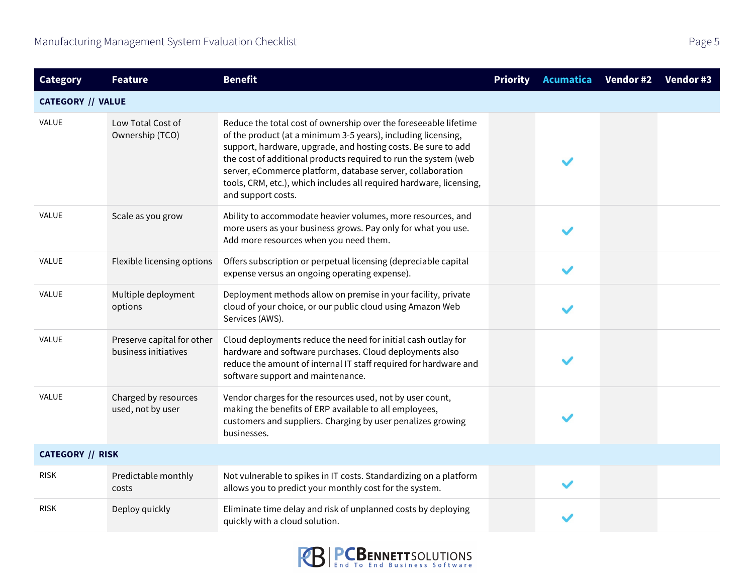| <b>Category</b>          | <b>Feature</b>                                     | <b>Benefit</b>                                                                                                                                                                                                                                                                                                                                                                                                                   | <b>Priority</b> | Acumatica    | Vendor #2 | Vendor #3 |
|--------------------------|----------------------------------------------------|----------------------------------------------------------------------------------------------------------------------------------------------------------------------------------------------------------------------------------------------------------------------------------------------------------------------------------------------------------------------------------------------------------------------------------|-----------------|--------------|-----------|-----------|
| <b>CATEGORY // VALUE</b> |                                                    |                                                                                                                                                                                                                                                                                                                                                                                                                                  |                 |              |           |           |
| VALUE                    | Low Total Cost of<br>Ownership (TCO)               | Reduce the total cost of ownership over the foreseeable lifetime<br>of the product (at a minimum 3-5 years), including licensing,<br>support, hardware, upgrade, and hosting costs. Be sure to add<br>the cost of additional products required to run the system (web<br>server, eCommerce platform, database server, collaboration<br>tools, CRM, etc.), which includes all required hardware, licensing,<br>and support costs. |                 | $\checkmark$ |           |           |
| <b>VALUE</b>             | Scale as you grow                                  | Ability to accommodate heavier volumes, more resources, and<br>more users as your business grows. Pay only for what you use.<br>Add more resources when you need them.                                                                                                                                                                                                                                                           |                 | $\checkmark$ |           |           |
| <b>VALUE</b>             | Flexible licensing options                         | Offers subscription or perpetual licensing (depreciable capital<br>expense versus an ongoing operating expense).                                                                                                                                                                                                                                                                                                                 |                 | $\checkmark$ |           |           |
| VALUE                    | Multiple deployment<br>options                     | Deployment methods allow on premise in your facility, private<br>cloud of your choice, or our public cloud using Amazon Web<br>Services (AWS).                                                                                                                                                                                                                                                                                   |                 | $\checkmark$ |           |           |
| VALUE                    | Preserve capital for other<br>business initiatives | Cloud deployments reduce the need for initial cash outlay for<br>hardware and software purchases. Cloud deployments also<br>reduce the amount of internal IT staff required for hardware and<br>software support and maintenance.                                                                                                                                                                                                |                 | $\checkmark$ |           |           |
| VALUE                    | Charged by resources<br>used, not by user          | Vendor charges for the resources used, not by user count,<br>making the benefits of ERP available to all employees,<br>customers and suppliers. Charging by user penalizes growing<br>businesses.                                                                                                                                                                                                                                |                 | $\checkmark$ |           |           |
| <b>CATEGORY // RISK</b>  |                                                    |                                                                                                                                                                                                                                                                                                                                                                                                                                  |                 |              |           |           |
| <b>RISK</b>              | Predictable monthly<br>costs                       | Not vulnerable to spikes in IT costs. Standardizing on a platform<br>allows you to predict your monthly cost for the system.                                                                                                                                                                                                                                                                                                     |                 | $\checkmark$ |           |           |
| <b>RISK</b>              | Deploy quickly                                     | Eliminate time delay and risk of unplanned costs by deploying<br>quickly with a cloud solution.                                                                                                                                                                                                                                                                                                                                  |                 |              |           |           |